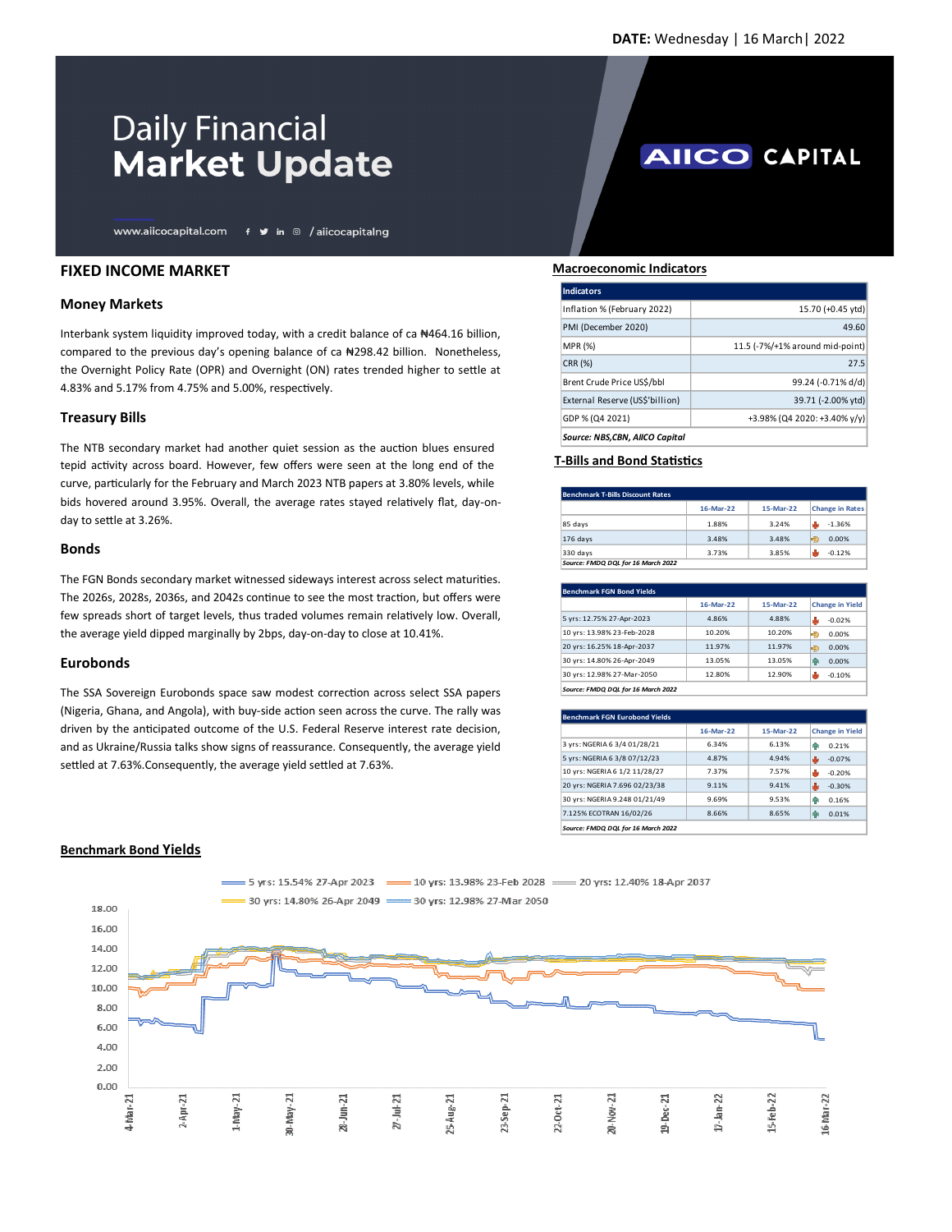**AIICO CAPITAL** 

# **Daily Financial Market Update**

www.aiicocapital.com f y in @ /aiicocapitalng

## **FIXED INCOME MARKET**

## **Money Markets**

Interbank system liquidity improved today, with a credit balance of ca ₦464.16 billion, compared to the previous day's opening balance of ca #298.42 billion. Nonetheless, the Overnight Policy Rate (OPR) and Overnight (ON) rates trended higher to settle at 4.83% and 5.17% from 4.75% and 5.00%, respectively.

### **Treasury Bills**

The NTB secondary market had another quiet session as the auction blues ensured tepid activity across board. However, few offers were seen at the long end of the curve, particularly for the February and March 2023 NTB papers at 3.80% levels, while bids hovered around 3.95%. Overall, the average rates stayed relatively flat, day-onday to settle at 3.26%.

#### **Bonds**

The FGN Bonds secondary market witnessed sideways interest across select maturities. The 2026s, 2028s, 2036s, and 2042s continue to see the most traction, but offers were few spreads short of target levels, thus traded volumes remain relatively low. Overall, the average yield dipped marginally by 2bps, day-on-day to close at 10.41%.

### **Eurobonds**

The SSA Sovereign Eurobonds space saw modest correction across select SSA papers (Nigeria, Ghana, and Angola), with buy-side action seen across the curve. The rally was driven by the anticipated outcome of the U.S. Federal Reserve interest rate decision, and as Ukraine/Russia talks show signs of reassurance. Consequently, the average yield settled at 7.63%.Consequently, the average yield settled at 7.63%.

#### **Macroeconomic Indicators**

| Indicators                      |                                 |
|---------------------------------|---------------------------------|
| Inflation % (February 2022)     | 15.70 (+0.45 ytd)               |
| PMI (December 2020)             | 49.60                           |
| <b>MPR (%)</b>                  | 11.5 (-7%/+1% around mid-point) |
| CRR (%)                         | 27.5                            |
| Brent Crude Price US\$/bbl      | 99.24 (-0.71% d/d)              |
| External Reserve (US\$'billion) | 39.71 (-2.00% ytd)              |
| GDP % (Q4 2021)                 | +3.98% (Q4 2020: +3.40% y/y)    |
| Source: NBS.CBN. AIICO Capital  |                                 |

## **T-Bills and Bond Statistics**

| Benchmark T-Bills Discount Rates   |           |           |                        |
|------------------------------------|-----------|-----------|------------------------|
|                                    | 16-Mar-22 | 15-Mar-22 | <b>Change in Rates</b> |
| 85 days                            | 1.88%     | 3.24%     | $-1.36%$               |
| 176 days                           | 3.48%     | 3.48%     | 0.00%<br>Ð             |
| 330 days                           | 3.73%     | 3.85%     | $-0.12%$               |
| Source: FMDO DOL for 16 March 2022 |           |           |                        |

| <b>Benchmark FGN Bond Yields</b>   |           |           |                        |
|------------------------------------|-----------|-----------|------------------------|
|                                    | 16-Mar-22 | 15-Mar-22 | <b>Change in Yield</b> |
| 5 yrs: 12.75% 27-Apr-2023          | 4.86%     | 4.88%     | s la<br>$-0.02%$       |
| 10 yrs: 13.98% 23-Feb-2028         | 10.20%    | 10.20%    | Ð<br>0.00%             |
| 20 yrs: 16.25% 18-Apr-2037         | 11.97%    | 11.97%    | ゆ<br>0.00%             |
| 30 yrs: 14.80% 26-Apr-2049         | 13.05%    | 13.05%    | 0.00%<br>ЙR            |
| 30 yrs: 12.98% 27-Mar-2050         | 12.80%    | 12.90%    | s la<br>$-0.10%$       |
| Source: FMDO DOL for 16 March 2022 |           |           |                        |

| <b>Benchmark FGN Eurobond Yields</b> |           |           |                        |
|--------------------------------------|-----------|-----------|------------------------|
|                                      | 16-Mar-22 | 15-Mar-22 | <b>Change in Yield</b> |
| 3 yrs: NGERIA 6 3/4 01/28/21         | 6.34%     | 6.13%     | 0.21%<br>ЙP            |
| 5 yrs: NGERIA 6 3/8 07/12/23         | 4.87%     | 4.94%     | $-0.07%$               |
| 10 yrs: NGERIA 6 1/2 11/28/27        | 7.37%     | 7.57%     | s ly<br>$-0.20%$       |
| 20 yrs: NGERIA 7.696 02/23/38        | 9.11%     | 9.41%     | $-0.30%$               |
| 30 vrs: NGERIA 9.248 01/21/49        | 9.69%     | 9.53%     | 0.16%<br>ЙP            |
| 7.125% ECOTRAN 16/02/26              | 8.66%     | 8.65%     | 0.01%<br>qр            |
| Source: FMDO DOL for 16 March 2022   |           |           |                        |



## **Benchmark Bond Yields**